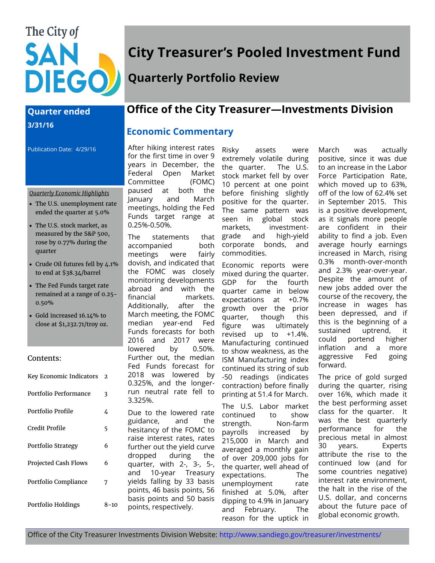# The City of SAN **DIEGO**

## **Quarter ended 3/31/16**

Publication Date: 4/29/16

#### *Quarterly Economic Highlights*

- The U.S. unemployment rate ended the quarter at 5.0%
- The U.S. stock market, as measured by the S&P 500, rose by 0.77% during the quarter
- Crude Oil futures fell by 4.1% to end at \$38.34/barrel
- The Fed Funds target rate remained at a range of 0.25- 0.50%
- Gold increased 16.14% to close at \$1,232.71/troy oz.

#### Contents:

| Key Economic Indicators     | $\mathfrak{D}$ |
|-----------------------------|----------------|
| Portfolio Performance       | 3              |
| Portfolio Profile           | 4              |
| Credit Profile              | 5              |
| Portfolio Strategy          | 6              |
| <b>Projected Cash Flows</b> | 6              |
| Portfolio Compliance        | 7              |
| Portfolio Holdings          | 8–10           |

## **City Treasurer's Pooled Investment Fund**

## **Quarterly Portfolio Review**

## **Office of the City Treasurer—Investments Division**

## **Economic Commentary**

After hiking interest rates for the first time in over 9 years in December, the Federal Open Market Committee (FOMC) paused at both the January and March meetings, holding the Fed Funds target range at 0.25%-0.50%.

The statements that grade accompanied both meetings were fairly dovish, and indicated that the FOMC was closely monitoring developments abroad and with the financial markets. Additionally, after the March meeting, the FOMC median year-end Fed Funds forecasts for both 2016 and 2017 were lowered by 0.50%. Further out, the median Fed Funds forecast for 2018 was lowered by 0.325%, and the longerrun neutral rate fell to 3.325%.

Due to the lowered rate guidance, and the hesitancy of the FOMC to raise interest rates, rates further out the yield curve dropped during the quarter, with 2-, 3-, 5-, and 10-year Treasury yields falling by 33 basis points, 46 basis points, 56 basis points and 50 basis points, respectively.

Risky assets were extremely volatile during the quarter. The U.S. stock market fell by over 10 percent at one point before finishing slightly positive for the quarter. The same pattern was seen in global stock markets, investmentand high-yield corporate bonds, and commodities.

Economic reports were mixed during the quarter. GDP for the fourth quarter came in below expectations at +0.7% growth over the prior quarter, though this figure was ultimately revised up to +1.4%. Manufacturing continued to show weakness, as the ISM Manufacturing index continued its string of sub -50 readings (indicates contraction) before finally printing at 51.4 for March.

The U.S. Labor market continued to show strength. Non-farm payrolls increased by 215,000 in March and averaged a monthly gain of over 209,000 jobs for the quarter, well ahead of expectations. The unemployment rate finished at 5.0%, after dipping to 4.9% in January and February. The reason for the uptick in

March was actually positive, since it was due to an increase in the Labor Force Participation Rate, which moved up to 63%, off of the low of 62.4% set in September 2015. This is a positive development, as it signals more people are confident in their ability to find a job. Even average hourly earnings increased in March, rising 0.3% month-over-month and 2.3% year-over-year. Despite the amount of new jobs added over the course of the recovery, the increase in wages has been depressed, and if this is the beginning of a sustained uptrend, it could portend higher inflation and a more aggressive Fed going forward.

The price of gold surged during the quarter, rising over 16%, which made it the best performing asset class for the quarter. It was the best quarterly performance for the precious metal in almost 30 years. Experts attribute the rise to the continued low (and for some countries negative) interest rate environment, the halt in the rise of the U.S. dollar, and concerns about the future pace of global economic growth.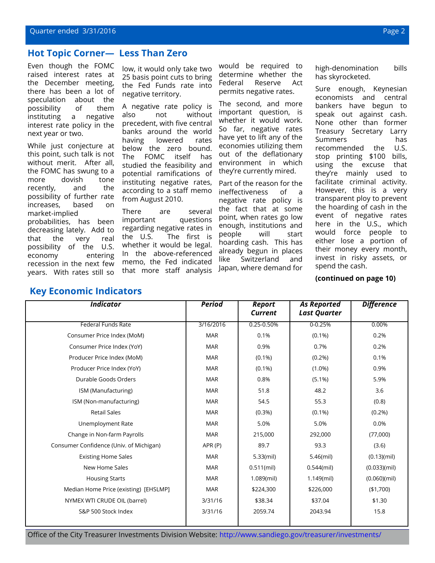#### **Hot Topic Corner— Less Than Zero**

Even though the FOMC raised interest rates at the December meeting, there has been a lot of speculation about the possibility of them instituting a negative interest rate policy in the next year or two.

While just conjecture at this point, such talk is not without merit. After all, the FOMC has swung to a more dovish tone recently, and the possibility of further rate increases, based on market-implied probabilities, has been decreasing lately. Add to that the very real possibility of the U.S. economy entering recession in the next few years. With rates still so

**Key Economic Indicators**

low, it would only take two 25 basis point cuts to bring the Fed Funds rate into negative territory.

A negative rate policy is also not without precedent, with five central banks around the world having lowered rates below the zero bound. The FOMC itself has studied the feasibility and potential ramifications of instituting negative rates, according to a staff memo from August 2010.

There are several important questions regarding negative rates in the U.S. The first is whether it would be legal. In the above-referenced memo, the Fed indicated that more staff analysis

would be required to determine whether the Federal Reserve Act permits negative rates.

The second, and more important question, is whether it would work. So far, negative rates have yet to lift any of the economies utilizing them out of the deflationary environment in which they're currently mired.

Part of the reason for the ineffectiveness of a negative rate policy is the fact that at some point, when rates go low enough, institutions and people will start hoarding cash. This has already begun in places like Switzerland and Japan, where demand for

high-denomination bills has skyrocketed.

Sure enough, Keynesian economists and central bankers have begun to speak out against cash. None other than former Treasury Secretary Larry Summers has recommended the U.S. stop printing \$100 bills, using the excuse that they're mainly used to facilitate criminal activity. However, this is a very transparent ploy to prevent the hoarding of cash in the event of negative rates here in the U.S., which would force people to either lose a portion of their money every month, invest in risky assets, or spend the cash.

#### **(continued on page 10)**

| <b>Indicator</b>                        | <b>Period</b> | <b>Report</b><br><b>Current</b> | <b>As Reported</b><br><b>Last Quarter</b> | <b>Difference</b>     |
|-----------------------------------------|---------------|---------------------------------|-------------------------------------------|-----------------------|
| <b>Federal Funds Rate</b>               | 3/16/2016     | $0.25 - 0.50%$                  | $0 - 0.25%$                               | 0.00%                 |
| Consumer Price Index (MoM)              | <b>MAR</b>    | 0.1%                            | $(0.1\%)$                                 | 0.2%                  |
| Consumer Price Index (YoY)              | <b>MAR</b>    | 0.9%                            | 0.7%                                      | 0.2%                  |
| Producer Price Index (MoM)              | <b>MAR</b>    | $(0.1\%)$                       | $(0.2\%)$                                 | 0.1%                  |
| Producer Price Index (YoY)              | <b>MAR</b>    | $(0.1\%)$                       | $(1.0\%)$                                 | 0.9%                  |
| Durable Goods Orders                    | <b>MAR</b>    | 0.8%                            | $(5.1\%)$                                 | 5.9%                  |
| ISM (Manufacturing)                     | <b>MAR</b>    | 51.8                            | 48.2                                      | 3.6                   |
| ISM (Non-manufacturing)                 | <b>MAR</b>    | 54.5                            | 55.3                                      | (0.8)                 |
| <b>Retail Sales</b>                     | <b>MAR</b>    | $(0.3\%)$                       | $(0.1\%)$                                 | (0.2%)                |
| Unemployment Rate                       | <b>MAR</b>    | 5.0%                            | 5.0%                                      | 0.0%                  |
| Change in Non-farm Payrolls             | <b>MAR</b>    | 215,000                         | 292,000                                   | (77,000)              |
| Consumer Confidence (Univ. of Michigan) | APR(P)        | 89.7                            | 93.3                                      | (3.6)                 |
| <b>Existing Home Sales</b>              | <b>MAR</b>    | 5.33(mil)                       | 5.46(mil)                                 | (0.13)(mil)           |
| New Home Sales                          | <b>MAR</b>    | $0.511$ (mil)                   | $0.544$ (mil)                             | (0.033)(mil)          |
| <b>Housing Starts</b>                   | <b>MAR</b>    | $1.089$ (mil)                   | $1.149$ (mil)                             | $(0.060)(\text{mil})$ |
| Median Home Price (existing) [EHSLMP]   | <b>MAR</b>    | \$224,300                       | \$226,000                                 | ( \$1,700)            |
| NYMEX WTI CRUDE OIL (barrel)            | 3/31/16       | \$38.34                         | \$37.04                                   | \$1.30                |
| S&P 500 Stock Index                     | 3/31/16       | 2059.74                         | 2043.94                                   | 15.8                  |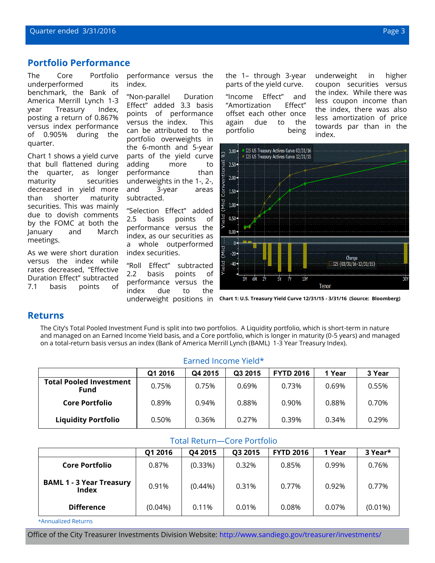#### **Portfolio Performance**

The Core Portfolio underperformed its benchmark, the Bank of America Merrill Lynch 1-3 year Treasury Index, posting a return of 0.867% versus index performance of 0.905% during the quarter.

Chart 1 shows a yield curve that bull flattened during the quarter, as longer maturity securities decreased in yield more than shorter maturity securities. This was mainly due to dovish comments by the FOMC at both the January and March meetings.

As we were short duration versus the index while rates decreased, "Effective Duration Effect" subtracted 7.1 basis points of

performance versus the index.

"Non-parallel Duration Effect" added 3.3 basis points of performance versus the index. This can be attributed to the portfolio overweights in the 6-month and 5-year parts of the yield curve adding more to performance than underweights in the 1-, 2-, and 3-year areas subtracted.

"Selection Effect" added 2.5 basis points of performance versus the index, as our securities as a whole outperformed index securities.

"Roll Effect" subtracted 2.2 basis points of performance versus the index due to the underweight positions in the 1– through 3-year parts of the yield curve.

"Income Effect" and "Amortization Effect" offset each other once again due to the portfolio being

underweight in higher coupon securities versus the index. While there was less coupon income than the index, there was also less amortization of price towards par than in the index.



**Chart 1: U.S. Treasury Yield Curve 12/31/15 - 3/31/16 (Source: Bloomberg)**

#### **Returns**

The City's Total Pooled Investment Fund is split into two portfolios. A Liquidity portfolio, which is short-term in nature and managed on an Earned Income Yield basis, and a Core portfolio, which is longer in maturity (0-5 years) and managed on a total-return basis versus an index (Bank of America Merrill Lynch (BAML) 1-3 Year Treasury Index).

|                                        | Q1 2016 | Q4 2015 | Q3 2015 | <b>FYTD 2016</b> | 1 Year | 3 Year |  |  |
|----------------------------------------|---------|---------|---------|------------------|--------|--------|--|--|
| <b>Total Pooled Investment</b><br>Fund | 0.75%   | 0.75%   | 0.69%   | 0.73%            | 0.69%  | 0.55%  |  |  |
| <b>Core Portfolio</b>                  | 0.89%   | 0.94%   | 0.88%   | 0.90%            | 0.88%  | 0.70%  |  |  |
| <b>Liquidity Portfolio</b>             | 0.50%   | 0.36%   | 0.27%   | 0.39%            | 0.34%  | 0.29%  |  |  |

#### Earned Income Yield\*

| <b>Total Return-Core Portfolio</b>              |                                                                        |            |       |       |       |            |  |  |  |  |
|-------------------------------------------------|------------------------------------------------------------------------|------------|-------|-------|-------|------------|--|--|--|--|
|                                                 | <b>FYTD 2016</b><br>3 Year*<br>Q1 2016<br>Q4 2015<br>1 Year<br>Q3 2015 |            |       |       |       |            |  |  |  |  |
| <b>Core Portfolio</b>                           | 0.87%                                                                  | (0.33%)    | 0.32% | 0.85% | 0.99% | 0.76%      |  |  |  |  |
| <b>BAML 1 - 3 Year Treasury</b><br><b>Index</b> | 0.91%                                                                  | $(0.44\%)$ | 0.31% | 0.77% | 0.92% | 0.77%      |  |  |  |  |
| <b>Difference</b>                               | $(0.04\%)$                                                             | 0.11%      | 0.01% | 0.08% | 0.07% | $(0.01\%)$ |  |  |  |  |

\*Annualized Returns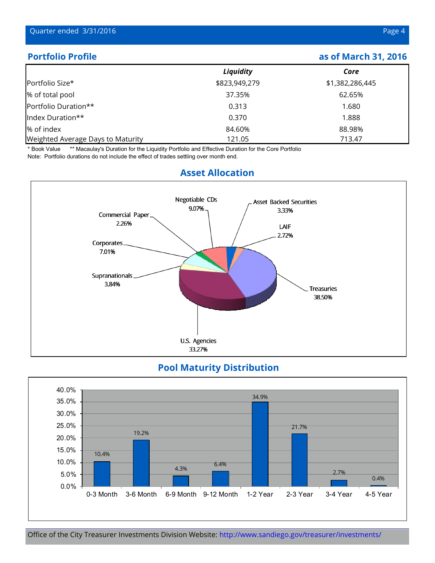## **Portfolio Profile and Profile as of March 31, 2016**

|                                   | Liquidity     | Core            |
|-----------------------------------|---------------|-----------------|
| Portfolio Size*                   | \$823,949,279 | \$1,382,286,445 |
| % of total pool                   | 37.35%        | 62.65%          |
| Portfolio Duration**              | 0.313         | 1.680           |
| Index Duration**                  | 0.370         | 1.888           |
| % of index                        | 84.60%        | 88.98%          |
| Weighted Average Days to Maturity | 121.05        | 713.47          |

\* Book Value \*\* Macaulay's Duration for the Liquidity Portfolio and Effective Duration for the Core Portfolio Note: Portfolio durations do not include the effect of trades settling over month end.



## **Asset Allocation**

## **Pool Maturity Distribution**

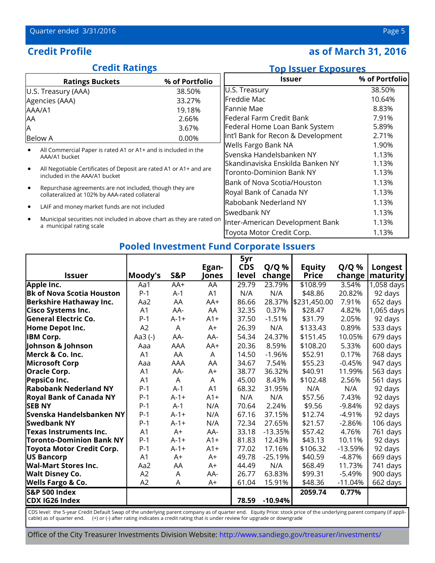## **Credit Profile 2016 as of March 31, 2016**

## **Credit Ratings**

## **Top Issuer Exposures**

| <b>Ratings Buckets</b>                                                                                    | % of Portfolio | Issuer                             | % of Portfolio |
|-----------------------------------------------------------------------------------------------------------|----------------|------------------------------------|----------------|
| U.S. Treasury (AAA)                                                                                       | 38.50%         | U.S. Treasury                      | 38.50%         |
| Agencies (AAA)                                                                                            | 33.27%         | Freddie Mac                        | 10.64%         |
| AAA/A1                                                                                                    | 19.18%         | Fannie Mae                         | 8.83%          |
| AΑ                                                                                                        | 2.66%          | lFederal Farm Credit Bank          | 7.91%          |
| Α                                                                                                         | 3.67%          | Federal Home Loan Bank System      | 5.89%          |
| <b>Below A</b>                                                                                            | $0.00\%$       | Int'l Bank for Recon & Development | 2.71%          |
|                                                                                                           |                | Wells Fargo Bank NA                | 1.90%          |
| All Commercial Paper is rated A1 or A1+ and is included in the<br>AAA/A1 bucket                           |                | Svenska Handelsbanken NY           | 1.13%          |
|                                                                                                           |                | Skandinaviska Enskilda Banken NY   | 1.13%          |
| All Negotiable Certificates of Deposit are rated A1 or A1+ and are<br>included in the AAA/A1 bucket       |                | Toronto-Dominion Bank NY           | 1.13%          |
|                                                                                                           |                | Bank of Nova Scotia/Houston        | 1.13%          |
| Repurchase agreements are not included, though they are<br>collateralized at 102% by AAA-rated collateral |                | Royal Bank of Canada NY            | 1.13%          |
| LAIF and money market funds are not included                                                              |                | Rabobank Nederland NY              | 1.13%          |
|                                                                                                           |                | Swedbank NY                        | 1.13%          |
| Municipal securities not included in above chart as they are rated on<br>a municipal rating scale         |                | Inter-American Development Bank    |                |
|                                                                                                           |                | Toyota Motor Credit Corp.          | 1.13%          |

## **Pooled Investment Fund Corporate Issuers**

|                                  |                |                |                | 5yr        |           |               |           |            |
|----------------------------------|----------------|----------------|----------------|------------|-----------|---------------|-----------|------------|
|                                  |                |                | Egan-          | <b>CDS</b> | $Q/Q$ %   | <b>Equity</b> | $Q/Q$ %   | Longest    |
| <b>Issuer</b>                    | Moody's        | S&P            | Jones          | level      | $change$  | <b>Price</b>  | change    | maturity   |
| Apple Inc.                       | Aa1            | AA+            | AA             | 29.79      | 23.79%    | \$108.99      | 3.54%     | 1,058 days |
| <b>Bk of Nova Scotia Houston</b> | $P-1$          | $A-1$          | A1             | N/A        | N/A       | \$48.86       | 20.82%    | 92 days    |
| <b>Berkshire Hathaway Inc.</b>   | Aa2            | AA             | AA+            | 86.66      | 28.37%    | \$231,450.00  | 7.91%     | 652 days   |
| <b>Cisco Systems Inc.</b>        | A1             | AA-            | AA             | 32.35      | 0.37%     | \$28.47       | 4.82%     | 1,065 days |
| <b>General Electric Co.</b>      | $P-1$          | $A-1+$         | $A1+$          | 37.50      | $-1.51%$  | \$31.79       | 2.05%     | 92 days    |
| Home Depot Inc.                  | A2             | $\overline{A}$ | $A+$           | 26.39      | N/A       | \$133.43      | 0.89%     | 533 days   |
| <b>IBM Corp.</b>                 | Aa3(-)         | AA-            | AA-            | 54.34      | 24.37%    | \$151.45      | 10.05%    | 679 days   |
| Johnson & Johnson                | Aaa            | AAA            | AA+            | 20.36      | 8.59%     | \$108.20      | 5.33%     | 600 days   |
| Merck & Co. Inc.                 | A1             | AA             | A              | 14.50      | $-1.96%$  | \$52.91       | 0.17%     | 768 days   |
| <b>Microsoft Corp</b>            | Aaa            | AAA            | AA             | 34.67      | 7.54%     | \$55.23       | $-0.45%$  | 947 days   |
| <b>Oracle Corp.</b>              | A1             | AA-            | $A+$           | 38.77      | 36.32%    | \$40.91       | 11.99%    | 563 days   |
| PepsiCo Inc.                     | A <sub>1</sub> | $\overline{A}$ | A              | 45.00      | 8.43%     | \$102.48      | 2.56%     | 561 days   |
| <b>Rabobank Nederland NY</b>     | $P-1$          | $A-1$          | A <sub>1</sub> | 68.32      | 31.95%    | N/A           | N/A       | 92 days    |
| <b>Royal Bank of Canada NY</b>   | $P-1$          | $A - 1 +$      | $A1+$          | N/A        | N/A       | \$57.56       | 7.43%     | 92 days    |
| <b>SEB NY</b>                    | $P-1$          | $A-1$          | N/A            | 70.64      | 2.24%     | \$9.56        | $-9.84%$  | 92 days    |
| Svenska Handelsbanken NY         | $P-1$          | $A-1+$         | N/A            | 67.16      | 37.15%    | \$12.74       | $-4.91%$  | 92 days    |
| <b>Swedbank NY</b>               | $P-1$          | $A-1+$         | N/A            | 72.34      | 27.65%    | \$21.57       | $-2.86%$  | 106 days   |
| Texas Instruments Inc.           | A <sub>1</sub> | $A+$           | AA-            | 33.18      | $-13.35%$ | \$57.42       | 4.76%     | 761 days   |
| <b>Toronto-Dominion Bank NY</b>  | $P-1$          | $A-1+$         | $A1+$          | 81.83      | 12.43%    | \$43.13       | 10.11%    | 92 days    |
| Toyota Motor Credit Corp.        | $P-1$          | $A-1+$         | $A1+$          | 77.02      | 17.16%    | \$106.32      | $-13.59%$ | 92 days    |
| US Bancorp                       | A1             | $A+$           | $A+$           | 49.78      | $-25.19%$ | \$40.59       | $-4.87%$  | 669 days   |
| <b>Wal-Mart Stores Inc.</b>      | Aa2            | AA             | $A+$           | 44.49      | N/A       | \$68.49       | 11.73%    | 741 days   |
| <b>Walt Disney Co.</b>           | A2             | A              | AA-            | 26.77      | 63.83%    | \$99.31       | $-5.49%$  | 900 days   |
| <b>Wells Fargo &amp; Co.</b>     | A2             | A              | $A+$           | 61.04      | 15.91%    | \$48.36       | $-11.04%$ | 662 days   |
| <b>S&amp;P 500 Index</b>         |                |                |                |            |           | 2059.74       | 0.77%     |            |
| CDX IG26 Index                   |                |                |                | 78.59      | $-10.94%$ |               |           |            |

CDS level: the 5-year Credit Default Swap of the underlying parent company as of quarter end. Equity Price: stock price of the underlying parent company (if applicable) as of quarter end. (+) or (-) after rating indicates a credit rating that is under review for upgrade or downgrade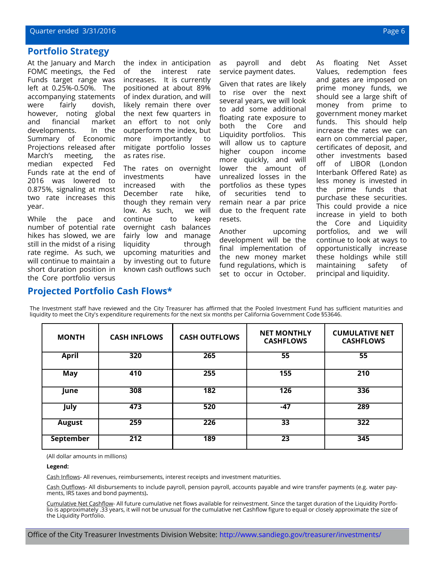#### **Portfolio Strategy**

At the January and March FOMC meetings, the Fed Funds target range was left at 0.25%-0.50%. The accompanying statements were fairly dovish, however, noting global and financial market developments. In the Summary of Economic Projections released after March's meeting, the median expected Fed Funds rate at the end of 2016 was lowered to 0.875%, signaling at most two rate increases this year.

While the pace and number of potential rate hikes has slowed, we are still in the midst of a rising rate regime. As such, we will continue to maintain a short duration position in the Core portfolio versus

the index in anticipation of the interest rate increases. It is currently positioned at about 89% of index duration, and will likely remain there over the next few quarters in an effort to not only outperform the index, but more importantly to mitigate portfolio losses as rates rise.

The rates on overnight investments have increased with the December rate hike, though they remain very low. As such, we will continue to keep overnight cash balances fairly low and manage liquidity through upcoming maturities and by investing out to future known cash outflows such

as payroll and debt service payment dates.

Given that rates are likely to rise over the next several years, we will look to add some additional floating rate exposure to both the Core and Liquidity portfolios. This will allow us to capture higher coupon income more quickly, and will lower the amount of unrealized losses in the portfolios as these types of securities tend to remain near a par price due to the frequent rate resets.

Another upcoming development will be the final implementation of the new money market fund regulations, which is set to occur in October. As floating Net Asset Values, redemption fees and gates are imposed on prime money funds, we should see a large shift of money from prime to government money market funds. This should help increase the rates we can earn on commercial paper, certificates of deposit, and other investments based off of LIBOR (London Interbank Offered Rate) as less money is invested in the prime funds that purchase these securities. This could provide a nice increase in yield to both the Core and Liquidity portfolios, and we will continue to look at ways to opportunistically increase these holdings while still maintaining safety of principal and liquidity.

#### **Projected Portfolio Cash Flows\***

The Investment staff have reviewed and the City Treasurer has affirmed that the Pooled Investment Fund has sufficient maturities and liquidity to meet the City's expenditure requirements for the next six months per California Government Code §53646.

| <b>MONTH</b>     | <b>CASH INFLOWS</b> | <b>CASH OUTFLOWS</b> | <b>NET MONTHLY</b><br><b>CASHFLOWS</b> | <b>CUMULATIVE NET</b><br><b>CASHFLOWS</b> |
|------------------|---------------------|----------------------|----------------------------------------|-------------------------------------------|
| <b>April</b>     | 320                 | 265                  | $\overline{55}$                        | $\overline{55}$                           |
| May              | 410                 | 255                  | 155                                    | 210                                       |
| June             | 308                 | 182                  | 126                                    | 336                                       |
| July             | 473                 | 520                  | $-47$                                  | 289                                       |
| <b>August</b>    | 259                 | 226                  | 33                                     | 322                                       |
| <b>September</b> | $\overline{212}$    | 189                  | 23                                     | 345                                       |

(All dollar amounts in millions)

#### **Legend:**

Cash Inflows- All revenues, reimbursements, interest receipts and investment maturities.

Cash Outflows- All disbursements to include payroll, pension payroll, accounts payable and wire transfer payments (e.g. water payments, IRS taxes and bond payments)**.**

Cumulative Net Cashflow- All future cumulative net flows available for reinvestment. Since the target duration of the Liquidity Portfolio is approximately .33 years, it will not be unusual for the cumulative net Cashflow figure to equal or closely approximate the size of the Liquidity Portfolio.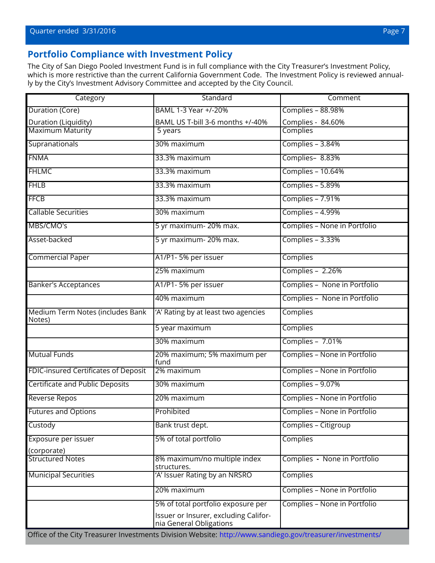## **Portfolio Compliance with Investment Policy**

The City of San Diego Pooled Investment Fund is in full compliance with the City Treasurer's Investment Policy, which is more restrictive than the current California Government Code. The Investment Policy is reviewed annually by the City's Investment Advisory Committee and accepted by the City Council.

| Category                                    | Standard                                                         | Comment                      |  |
|---------------------------------------------|------------------------------------------------------------------|------------------------------|--|
| Duration (Core)                             | BAML 1-3 Year +/-20%                                             | Complies - 88.98%            |  |
| Duration (Liquidity)<br>Maximum Maturity    | BAML US T-bill 3-6 months +/-40%                                 | Complies - 84.60%            |  |
|                                             | 5 years                                                          | <b>Complies</b>              |  |
| Supranationals                              | 30% maximum                                                      | Complies - 3.84%             |  |
| <b>FNMA</b>                                 | 33.3% maximum                                                    | Complies-8.83%               |  |
| <b>FHLMC</b>                                | 33.3% maximum                                                    | Complies - 10.64%            |  |
| <b>FHLB</b>                                 | 33.3% maximum                                                    | Complies - 5.89%             |  |
| <b>FFCB</b>                                 | 33.3% maximum                                                    | Complies - 7.91%             |  |
| <b>Callable Securities</b>                  | 30% maximum                                                      | Complies - 4.99%             |  |
| MBS/CMO's                                   | 5 yr maximum- 20% max.                                           | Complies - None in Portfolio |  |
| Asset-backed                                | 5 yr maximum-20% max.                                            | Complies - 3.33%             |  |
| <b>Commercial Paper</b>                     | A1/P1-5% per issuer                                              | Complies                     |  |
|                                             | 25% maximum                                                      | Complies - 2.26%             |  |
| <b>Banker's Acceptances</b>                 | A1/P1-5% per issuer                                              | Complies - None in Portfolio |  |
|                                             | 40% maximum                                                      | Complies - None in Portfolio |  |
| Medium Term Notes (includes Bank<br>Notes)  | 'A' Rating by at least two agencies                              | Complies                     |  |
|                                             | 5 year maximum                                                   | Complies                     |  |
|                                             | 30% maximum                                                      | Complies - 7.01%             |  |
| <b>Mutual Funds</b>                         | 20% maximum; 5% maximum per<br>fund                              | Complies - None in Portfolio |  |
| <b>FDIC-insured Certificates of Deposit</b> | 2% maximum                                                       | Complies - None in Portfolio |  |
| <b>Certificate and Public Deposits</b>      | 30% maximum                                                      | Complies - 9.07%             |  |
| <b>Reverse Repos</b>                        | 20% maximum                                                      | Complies - None in Portfolio |  |
| Futures and Options                         | Prohibited                                                       | Complies - None in Portfolio |  |
| Custody                                     | Bank trust dept.                                                 | Complies - Citigroup         |  |
| Exposure per issuer                         | 5% of total portfolio                                            | <b>Complies</b>              |  |
| (corporate)                                 |                                                                  |                              |  |
| <b>Structured Notes</b>                     | 8% maximum/no multiple index<br>structures.                      | Complies - None in Portfolio |  |
| <b>Municipal Securities</b>                 | 'A' Issuer Rating by an NRSRO                                    | Complies                     |  |
|                                             | 20% maximum                                                      | Complies - None in Portfolio |  |
|                                             | 5% of total portfolio exposure per                               | Complies - None in Portfolio |  |
|                                             | Issuer or Insurer, excluding Califor-<br>nia General Obligations |                              |  |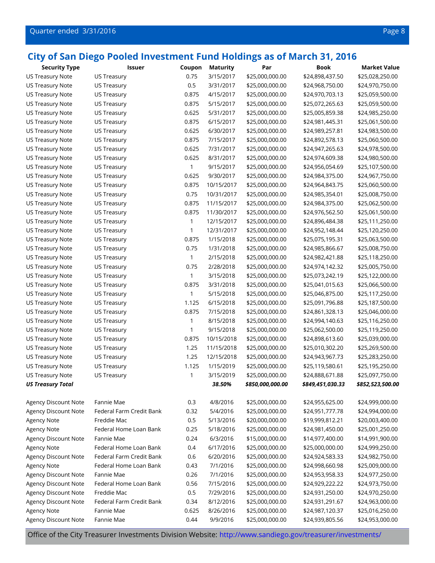| <b>US Treasury Note</b><br><b>US Treasury</b><br>0.75<br>3/15/2017<br>\$25,000,000.00<br>\$24,898,437.50<br>\$25,028,250.00<br>0.5<br>3/31/2017<br>\$25,000,000.00<br>\$24,968,750.00<br>\$24,970,750.00<br>US Treasury Note<br><b>US Treasury</b><br>0.875<br><b>US Treasury Note</b><br><b>US Treasury</b><br>4/15/2017<br>\$25,000,000.00<br>\$24,970,703.13<br>\$25,059,500.00<br>0.875<br>US Treasury<br>5/15/2017<br>\$25,000,000.00<br>\$25,059,500.00<br><b>US Treasury Note</b><br>\$25,072,265.63<br>0.625<br>5/31/2017<br>\$25,000,000.00<br>\$24,985,250.00<br>US Treasury Note<br><b>US Treasury</b><br>\$25,005,859.38<br>0.875<br>\$25,000,000.00<br>\$25,061,500.00<br>US Treasury Note<br><b>US Treasury</b><br>6/15/2017<br>\$24,981,445.31<br>0.625<br>6/30/2017<br>\$25,000,000.00<br>\$24,983,500.00<br>US Treasury Note<br><b>US Treasury</b><br>\$24,989,257.81 |  |
|----------------------------------------------------------------------------------------------------------------------------------------------------------------------------------------------------------------------------------------------------------------------------------------------------------------------------------------------------------------------------------------------------------------------------------------------------------------------------------------------------------------------------------------------------------------------------------------------------------------------------------------------------------------------------------------------------------------------------------------------------------------------------------------------------------------------------------------------------------------------------------------|--|
|                                                                                                                                                                                                                                                                                                                                                                                                                                                                                                                                                                                                                                                                                                                                                                                                                                                                                        |  |
|                                                                                                                                                                                                                                                                                                                                                                                                                                                                                                                                                                                                                                                                                                                                                                                                                                                                                        |  |
|                                                                                                                                                                                                                                                                                                                                                                                                                                                                                                                                                                                                                                                                                                                                                                                                                                                                                        |  |
|                                                                                                                                                                                                                                                                                                                                                                                                                                                                                                                                                                                                                                                                                                                                                                                                                                                                                        |  |
|                                                                                                                                                                                                                                                                                                                                                                                                                                                                                                                                                                                                                                                                                                                                                                                                                                                                                        |  |
|                                                                                                                                                                                                                                                                                                                                                                                                                                                                                                                                                                                                                                                                                                                                                                                                                                                                                        |  |
|                                                                                                                                                                                                                                                                                                                                                                                                                                                                                                                                                                                                                                                                                                                                                                                                                                                                                        |  |
| 0.875<br>7/15/2017<br>\$25,000,000.00<br>\$25,060,500.00<br>US Treasury Note<br><b>US Treasury</b><br>\$24,892,578.13                                                                                                                                                                                                                                                                                                                                                                                                                                                                                                                                                                                                                                                                                                                                                                  |  |
| 0.625<br><b>US Treasury Note</b><br>7/31/2017<br>\$25,000,000.00<br>\$24,978,500.00<br><b>US Treasury</b><br>\$24,947,265.63                                                                                                                                                                                                                                                                                                                                                                                                                                                                                                                                                                                                                                                                                                                                                           |  |
| 0.625<br>8/31/2017<br>\$25,000,000.00<br>\$24,980,500.00<br>US Treasury Note<br><b>US Treasury</b><br>\$24,974,609.38                                                                                                                                                                                                                                                                                                                                                                                                                                                                                                                                                                                                                                                                                                                                                                  |  |
| <b>US Treasury Note</b><br><b>US Treasury</b><br>1<br>9/15/2017<br>\$25,000,000.00<br>\$25,107,500.00<br>\$24,956,054.69                                                                                                                                                                                                                                                                                                                                                                                                                                                                                                                                                                                                                                                                                                                                                               |  |
| 0.625<br>9/30/2017<br><b>US Treasury Note</b><br><b>US Treasury</b><br>\$25,000,000.00<br>\$24,984,375.00<br>\$24,967,750.00                                                                                                                                                                                                                                                                                                                                                                                                                                                                                                                                                                                                                                                                                                                                                           |  |
| <b>US Treasury Note</b><br><b>US Treasury</b><br>0.875<br>10/15/2017<br>\$25,000,000.00<br>\$24,964,843.75<br>\$25,060,500.00                                                                                                                                                                                                                                                                                                                                                                                                                                                                                                                                                                                                                                                                                                                                                          |  |
| 0.75<br>10/31/2017<br>\$25,000,000.00<br>\$24,985,354.01<br>\$25,008,750.00<br>US Treasury Note<br><b>US Treasury</b>                                                                                                                                                                                                                                                                                                                                                                                                                                                                                                                                                                                                                                                                                                                                                                  |  |
| 0.875<br>11/15/2017<br>\$25,000,000.00<br>\$25,062,500.00<br>US Treasury Note<br><b>US Treasury</b><br>\$24,984,375.00                                                                                                                                                                                                                                                                                                                                                                                                                                                                                                                                                                                                                                                                                                                                                                 |  |
| 0.875<br><b>US Treasury Note</b><br>11/30/2017<br>\$25,000,000.00<br>\$24,976,562.50<br>\$25,061,500.00<br><b>US Treasury</b>                                                                                                                                                                                                                                                                                                                                                                                                                                                                                                                                                                                                                                                                                                                                                          |  |
| 12/15/2017<br>1<br>\$25,000,000.00<br>\$25,111,250.00<br>US Treasury Note<br><b>US Treasury</b><br>\$24,896,484.38                                                                                                                                                                                                                                                                                                                                                                                                                                                                                                                                                                                                                                                                                                                                                                     |  |
| 1<br><b>US Treasury Note</b><br>US Treasury<br>12/31/2017<br>\$25,000,000.00<br>\$25,120,250.00<br>\$24,952,148.44                                                                                                                                                                                                                                                                                                                                                                                                                                                                                                                                                                                                                                                                                                                                                                     |  |
| 0.875<br><b>US Treasury Note</b><br>1/15/2018<br>\$25,000,000.00<br>\$25,063,500.00<br><b>US Treasury</b><br>\$25,075,195.31                                                                                                                                                                                                                                                                                                                                                                                                                                                                                                                                                                                                                                                                                                                                                           |  |
| 0.75<br><b>US Treasury</b><br>1/31/2018<br>\$25,000,000.00<br>\$24,985,866.67<br>\$25,008,750.00<br>US Treasury Note                                                                                                                                                                                                                                                                                                                                                                                                                                                                                                                                                                                                                                                                                                                                                                   |  |
| $\mathbf{1}$<br>2/15/2018<br>\$25,000,000.00<br><b>US Treasury Note</b><br><b>US Treasury</b><br>\$24,982,421.88<br>\$25,118,250.00                                                                                                                                                                                                                                                                                                                                                                                                                                                                                                                                                                                                                                                                                                                                                    |  |
| 0.75<br>2/28/2018<br>\$25,000,000.00<br>\$25,005,750.00<br>US Treasury Note<br><b>US Treasury</b><br>\$24,974,142.32                                                                                                                                                                                                                                                                                                                                                                                                                                                                                                                                                                                                                                                                                                                                                                   |  |
| 1<br>3/15/2018<br>\$25,000,000.00<br>\$25,122,000.00<br>US Treasury Note<br><b>US Treasury</b><br>\$25,073,242.19                                                                                                                                                                                                                                                                                                                                                                                                                                                                                                                                                                                                                                                                                                                                                                      |  |
| 0.875<br>3/31/2018<br>\$25,000,000.00<br>\$25,041,015.63<br>\$25,066,500.00<br>US Treasury Note<br><b>US Treasury</b>                                                                                                                                                                                                                                                                                                                                                                                                                                                                                                                                                                                                                                                                                                                                                                  |  |
| 1<br>5/15/2018<br>\$25,000,000.00<br>\$25,117,250.00<br>US Treasury Note<br><b>US Treasury</b><br>\$25,046,875.00                                                                                                                                                                                                                                                                                                                                                                                                                                                                                                                                                                                                                                                                                                                                                                      |  |
| 1.125<br>6/15/2018<br>\$25,000,000.00<br>\$25,187,500.00<br>US Treasury Note<br><b>US Treasury</b><br>\$25,091,796.88                                                                                                                                                                                                                                                                                                                                                                                                                                                                                                                                                                                                                                                                                                                                                                  |  |
| 0.875<br>7/15/2018<br>\$25,000,000.00<br>\$25,046,000.00<br>US Treasury Note<br><b>US Treasury</b><br>\$24,861,328.13                                                                                                                                                                                                                                                                                                                                                                                                                                                                                                                                                                                                                                                                                                                                                                  |  |
| <b>US Treasury Note</b><br><b>US Treasury</b><br>1<br>8/15/2018<br>\$25,000,000.00<br>\$24,994,140.63<br>\$25,116,250.00                                                                                                                                                                                                                                                                                                                                                                                                                                                                                                                                                                                                                                                                                                                                                               |  |
| 1<br>US Treasury Note<br>US Treasury<br>9/15/2018<br>\$25,000,000.00<br>\$25,062,500.00<br>\$25,119,250.00                                                                                                                                                                                                                                                                                                                                                                                                                                                                                                                                                                                                                                                                                                                                                                             |  |
| 0.875<br>10/15/2018<br>\$25,000,000.00<br>\$24,898,613.60<br>\$25,039,000.00<br>US Treasury Note<br><b>US Treasury</b>                                                                                                                                                                                                                                                                                                                                                                                                                                                                                                                                                                                                                                                                                                                                                                 |  |
| 1.25<br>11/15/2018<br>\$25,000,000.00<br>\$25,269,500.00<br>US Treasury Note<br><b>US Treasury</b><br>\$25,010,302.20                                                                                                                                                                                                                                                                                                                                                                                                                                                                                                                                                                                                                                                                                                                                                                  |  |
| 1.25<br>12/15/2018<br>\$25,000,000.00<br>\$25,283,250.00<br><b>US Treasury Note</b><br><b>US Treasury</b><br>\$24,943,967.73                                                                                                                                                                                                                                                                                                                                                                                                                                                                                                                                                                                                                                                                                                                                                           |  |
| 1.125<br>1/15/2019<br><b>US Treasury Note</b><br>\$25,000,000.00<br>\$25,195,250.00<br><b>US Treasury</b><br>\$25,119,580.61                                                                                                                                                                                                                                                                                                                                                                                                                                                                                                                                                                                                                                                                                                                                                           |  |
| <b>US Treasury Note</b><br><b>US Treasury</b><br>1<br>3/15/2019<br>\$25,000,000.00<br>\$24,888,671.88<br>\$25,097,750.00                                                                                                                                                                                                                                                                                                                                                                                                                                                                                                                                                                                                                                                                                                                                                               |  |
| <b>US Treasury Total</b><br>38.50%<br>\$850,000,000.00<br>\$849,451,030.33<br>\$852,523,500.00                                                                                                                                                                                                                                                                                                                                                                                                                                                                                                                                                                                                                                                                                                                                                                                         |  |
|                                                                                                                                                                                                                                                                                                                                                                                                                                                                                                                                                                                                                                                                                                                                                                                                                                                                                        |  |
| 0.3<br>4/8/2016<br>\$25,000,000.00<br>Agency Discount Note<br>Fannie Mae<br>\$24,955,625.00<br>\$24,999,000.00                                                                                                                                                                                                                                                                                                                                                                                                                                                                                                                                                                                                                                                                                                                                                                         |  |
| 0.32<br>Agency Discount Note<br>Federal Farm Credit Bank<br>5/4/2016<br>\$25,000,000.00<br>\$24,951,777.78<br>\$24,994,000.00                                                                                                                                                                                                                                                                                                                                                                                                                                                                                                                                                                                                                                                                                                                                                          |  |
| 0.5<br>Agency Note<br>Freddie Mac<br>5/13/2016<br>\$20,000,000.00<br>\$19,999,812.21<br>\$20,003,400.00                                                                                                                                                                                                                                                                                                                                                                                                                                                                                                                                                                                                                                                                                                                                                                                |  |
| 0.25<br><b>Agency Note</b><br>Federal Home Loan Bank<br>5/18/2016<br>\$25,000,000.00<br>\$24,981,450.00<br>\$25,001,250.00                                                                                                                                                                                                                                                                                                                                                                                                                                                                                                                                                                                                                                                                                                                                                             |  |
| 0.24<br>6/3/2016<br>\$15,000,000.00<br>Agency Discount Note<br>Fannie Mae<br>\$14,977,400.00<br>\$14,991,900.00                                                                                                                                                                                                                                                                                                                                                                                                                                                                                                                                                                                                                                                                                                                                                                        |  |
| Federal Home Loan Bank<br>0.4<br>Agency Note<br>6/17/2016<br>\$25,000,000.00<br>\$25,000,000.00<br>\$24,999,250.00                                                                                                                                                                                                                                                                                                                                                                                                                                                                                                                                                                                                                                                                                                                                                                     |  |
| <b>Agency Discount Note</b><br>Federal Farm Credit Bank<br>0.6<br>6/20/2016<br>\$25,000,000.00<br>\$24,982,750.00<br>\$24,924,583.33                                                                                                                                                                                                                                                                                                                                                                                                                                                                                                                                                                                                                                                                                                                                                   |  |
| Agency Note<br>Federal Home Loan Bank<br>0.43<br>7/1/2016<br>\$25,000,000.00<br>\$24,998,660.98<br>\$25,009,000.00                                                                                                                                                                                                                                                                                                                                                                                                                                                                                                                                                                                                                                                                                                                                                                     |  |
| Agency Discount Note<br>0.26<br>Fannie Mae<br>7/1/2016<br>\$25,000,000.00<br>\$24,977,250.00<br>\$24,953,958.33                                                                                                                                                                                                                                                                                                                                                                                                                                                                                                                                                                                                                                                                                                                                                                        |  |
| Federal Home Loan Bank<br>0.56<br>Agency Discount Note<br>7/15/2016<br>\$25,000,000.00<br>\$24,973,750.00<br>\$24,929,222.22                                                                                                                                                                                                                                                                                                                                                                                                                                                                                                                                                                                                                                                                                                                                                           |  |
| 0.5<br>Agency Discount Note<br>Freddie Mac<br>7/29/2016<br>\$25,000,000.00<br>\$24,931,250.00<br>\$24,970,250.00                                                                                                                                                                                                                                                                                                                                                                                                                                                                                                                                                                                                                                                                                                                                                                       |  |
| Agency Discount Note<br>Federal Farm Credit Bank<br>0.34<br>8/12/2016<br>\$25,000,000.00<br>\$24,963,000.00<br>\$24,931,291.67                                                                                                                                                                                                                                                                                                                                                                                                                                                                                                                                                                                                                                                                                                                                                         |  |
| 0.625<br>Agency Note<br>Fannie Mae<br>8/26/2016<br>\$25,000,000.00<br>\$24,987,120.37<br>\$25,016,250.00                                                                                                                                                                                                                                                                                                                                                                                                                                                                                                                                                                                                                                                                                                                                                                               |  |
| Agency Discount Note<br>0.44<br>\$25,000,000.00<br>Fannie Mae<br>9/9/2016<br>\$24,939,805.56<br>\$24,953,000.00                                                                                                                                                                                                                                                                                                                                                                                                                                                                                                                                                                                                                                                                                                                                                                        |  |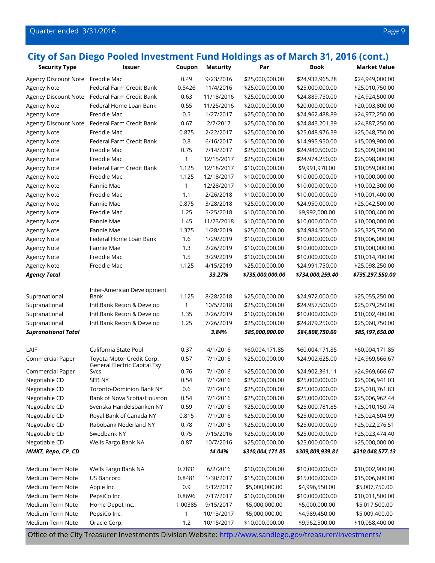#### Quarter ended 3/31/2016 Page 9

## **City of San Diego Pooled Investment Fund Holdings as of March 31, 2016 (cont.)**

| <b>Security Type</b>             | <b>Issuer</b>                        | Coupon  | <b>Maturity</b> | Par              | <b>Book</b>      | <b>Market Value</b> |
|----------------------------------|--------------------------------------|---------|-----------------|------------------|------------------|---------------------|
| Agency Discount Note Freddie Mac |                                      | 0.49    | 9/23/2016       | \$25,000,000.00  | \$24,932,965.28  | \$24,949,000.00     |
| <b>Agency Note</b>               | Federal Farm Credit Bank             | 0.5426  | 11/4/2016       | \$25,000,000.00  | \$25,000,000.00  | \$25,010,750.00     |
| Agency Discount Note             | Federal Farm Credit Bank             | 0.63    | 11/18/2016      | \$25,000,000.00  | \$24,889,750.00  | \$24,924,500.00     |
| Agency Note                      | Federal Home Loan Bank               | 0.55    | 11/25/2016      | \$20,000,000.00  | \$20,000,000.00  | \$20,003,800.00     |
| <b>Agency Note</b>               | Freddie Mac                          | 0.5     | 1/27/2017       | \$25,000,000.00  | \$24,962,488.89  | \$24,972,250.00     |
| Agency Discount Note             | Federal Farm Credit Bank             | 0.67    | 2/7/2017        | \$25,000,000.00  | \$24,843,201.39  | \$24,887,250.00     |
| <b>Agency Note</b>               | Freddie Mac                          | 0.875   | 2/22/2017       | \$25,000,000.00  | \$25,048,976.39  | \$25,048,750.00     |
| <b>Agency Note</b>               | Federal Farm Credit Bank             | 0.8     | 6/16/2017       | \$15,000,000.00  | \$14,995,950.00  | \$15,009,900.00     |
| <b>Agency Note</b>               | Freddie Mac                          | 0.75    | 7/14/2017       | \$25,000,000.00  | \$24,980,500.00  | \$25,009,000.00     |
| <b>Agency Note</b>               | Freddie Mac                          | 1       | 12/15/2017      | \$25,000,000.00  | \$24,974,250.00  | \$25,098,000.00     |
| <b>Agency Note</b>               | Federal Farm Credit Bank             | 1.125   | 12/18/2017      | \$10,000,000.00  | \$9,991,970.00   | \$10,059,000.00     |
| <b>Agency Note</b>               | Freddie Mac                          | 1.125   | 12/18/2017      | \$10,000,000.00  | \$10,000,000.00  | \$10,000,000.00     |
| <b>Agency Note</b>               | Fannie Mae                           | 1       | 12/28/2017      | \$10,000,000.00  | \$10,000,000.00  | \$10,002,300.00     |
| <b>Agency Note</b>               | Freddie Mac                          | 1.1     | 2/26/2018       | \$10,000,000.00  | \$10,000,000.00  | \$10,001,400.00     |
| <b>Agency Note</b>               | Fannie Mae                           | 0.875   | 3/28/2018       | \$25,000,000.00  | \$24,950,000.00  | \$25,042,500.00     |
| <b>Agency Note</b>               | Freddie Mac                          | 1.25    | 5/25/2018       | \$10,000,000.00  | \$9,992,000.00   | \$10,000,400.00     |
| <b>Agency Note</b>               | Fannie Mae                           | 1.45    | 11/23/2018      | \$10,000,000.00  | \$10,000,000.00  | \$10,000,000.00     |
| Agency Note                      | Fannie Mae                           | 1.375   | 1/28/2019       | \$25,000,000.00  | \$24,984,500.00  | \$25,325,750.00     |
| <b>Agency Note</b>               | Federal Home Loan Bank               | 1.6     | 1/29/2019       | \$10,000,000.00  | \$10,000,000.00  | \$10,006,000.00     |
| <b>Agency Note</b>               | Fannie Mae                           | 1.3     | 2/26/2019       | \$10,000,000.00  | \$10,000,000.00  | \$10,000,000.00     |
| <b>Agency Note</b>               | Freddie Mac                          | 1.5     | 3/29/2019       | \$10,000,000.00  | \$10,000,000.00  | \$10,014,700.00     |
| <b>Agency Note</b>               | Freddie Mac                          | 1.125   | 4/15/2019       | \$25,000,000.00  | \$24,991,750.00  | \$25,098,250.00     |
| <b>Agency Total</b>              |                                      |         | 33.27%          | \$735,000,000.00 | \$734,000,259.40 | \$735,297,550.00    |
|                                  |                                      |         |                 |                  |                  |                     |
| Supranational                    | Inter-American Development<br>Bank   | 1.125   | 8/28/2018       | \$25,000,000.00  | \$24,972,000.00  | \$25,055,250.00     |
| Supranational                    | Intl Bank Recon & Develop            | 1       | 10/5/2018       | \$25,000,000.00  | \$24,957,500.00  | \$25,079,250.00     |
| Supranational                    | Intl Bank Recon & Develop            | 1.35    | 2/26/2019       | \$10,000,000.00  | \$10,000,000.00  | \$10,002,400.00     |
| Supranational                    | Intl Bank Recon & Develop            | 1.25    | 7/26/2019       | \$25,000,000.00  | \$24,879,250.00  | \$25,060,750.00     |
| <b>Supranational Total</b>       |                                      |         | 3.84%           | \$85,000,000.00  | \$84,808,750.00  | \$85,197,650.00     |
|                                  |                                      |         |                 |                  |                  |                     |
| LAIF                             | California State Pool                | 0.37    | 4/1/2016        | \$60,004,171.85  | \$60,004,171.85  | \$60,004,171.85     |
| Commercial Paper                 | Toyota Motor Credit Corp.            | 0.57    | 7/1/2016        | \$25,000,000.00  | \$24,902,625.00  | \$24,969,666.67     |
| Commercial Paper                 | General Electric Capital Tsy<br>Svcs | 0.76    | 7/1/2016        | \$25,000,000.00  | \$24,902,361.11  | \$24,969,666.67     |
| Negotiable CD                    | <b>SEB NY</b>                        | 0.54    | 7/1/2016        | \$25,000,000.00  | \$25,000,000.00  | \$25,006,941.03     |
| Negotiable CD                    | <b>Toronto-Dominion Bank NY</b>      | 0.6     | 7/1/2016        | \$25,000,000.00  | \$25,000,000.00  | \$25,010,761.83     |
| Negotiable CD                    | Bank of Nova Scotia/Houston          | 0.54    | 7/1/2016        | \$25,000,000.00  | \$25,000,000.00  | \$25,006,962.44     |
| Negotiable CD                    | Svenska Handelsbanken NY             | 0.59    | 7/1/2016        | \$25,000,000.00  | \$25,000,781.85  | \$25,010,150.74     |
| Negotiable CD                    | Royal Bank of Canada NY              | 0.815   | 7/1/2016        | \$25,000,000.00  | \$25,000,000.00  | \$25,024,504.99     |
| Negotiable CD                    | Rabobank Nederland NY                | 0.78    | 7/1/2016        | \$25,000,000.00  | \$25,000,000.00  | \$25,022,276.51     |
| Negotiable CD                    | Swedbank NY                          | 0.75    | 7/15/2016       | \$25,000,000.00  | \$25,000,000.00  | \$25,023,474.40     |
| Negotiable CD                    | Wells Fargo Bank NA                  | 0.87    | 10/7/2016       | \$25,000,000.00  | \$25,000,000.00  | \$25,000,000.00     |
| MMKT, Repo, CP, CD               |                                      |         | 14.04%          | \$310,004,171.85 | \$309,809,939.81 | \$310,048,577.13    |
|                                  |                                      |         |                 |                  |                  |                     |
| Medium Term Note                 | Wells Fargo Bank NA                  | 0.7831  | 6/2/2016        | \$10,000,000.00  | \$10,000,000.00  | \$10,002,900.00     |
| Medium Term Note                 | US Bancorp                           | 0.8481  | 1/30/2017       | \$15,000,000.00  | \$15,000,000.00  | \$15,006,600.00     |
| Medium Term Note                 | Apple Inc.                           | 0.9     | 5/12/2017       | \$5,000,000.00   | \$4,996,550.00   | \$5,007,750.00      |
| Medium Term Note                 | PepsiCo Inc.                         | 0.8696  | 7/17/2017       | \$10,000,000.00  | \$10,000,000.00  | \$10,011,500.00     |
| Medium Term Note                 | Home Depot Inc                       | 1.00385 | 9/15/2017       | \$5,000,000.00   | \$5,000,000.00   | \$5,017,500.00      |
| Medium Term Note                 | PepsiCo Inc.                         | 1       | 10/13/2017      | \$5,000,000.00   | \$4,989,450.00   | \$5,009,400.00      |
| Medium Term Note                 | Oracle Corp.                         | 1.2     | 10/15/2017      | \$10,000,000.00  | \$9,962,500.00   | \$10,058,400.00     |
|                                  |                                      |         |                 |                  |                  |                     |